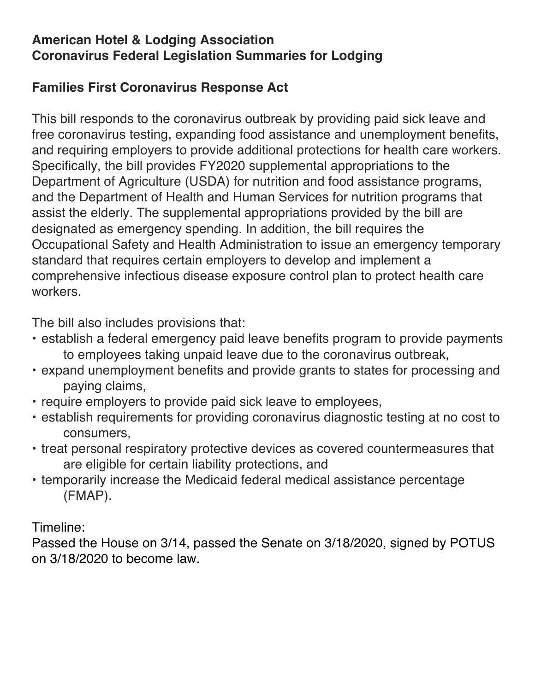## **American Hotel & Lodging Association Coronavirus Federal Legislation Summaries for Lodging**

## **Families First Coronavirus Response Act**

This bill responds to the coronavirus outbreak by providing paid sick leave and free coronavirus testing, expanding food assistance and unemployment benefits, and requiring employers to provide additional protections for health care workers. Specifically, the bill provides FY2020 supplemental appropriations to the Department of Agriculture (USDA) for nutrition and food assistance programs, and the Department of Health and Human Services for nutrition programs that assist the elderly. The supplemental appropriations provided by the bill are designated as emergency spending. In addition, the bill requires the Occupational Safety and Health Administration to issue an emergency temporary standard that requires certain employers to develop and implement a comprehensive infectious disease exposure control plan to protect health care workers.

The bill also includes provisions that:

- establish a federal emergency paid leave benefits program to provide payments to employees taking unpaid leave due to the coronavirus outbreak,
- expand unemployment benefits and provide grants to states for processing and paying claims,
- require employers to provide paid sick leave to employees,
- establish requirements for providing coronavirus diagnostic testing at no cost to consumers,
- treat personal respiratory protective devices as covered countermeasures that are eligible for certain liability protections, and
- temporarily increase the Medicaid federal medical assistance percentage (FMAP).

Timeline:

Passed the House on 3/14, passed the Senate on 3/18/2020, signed by POTUS on 3/18/2020 to become law.